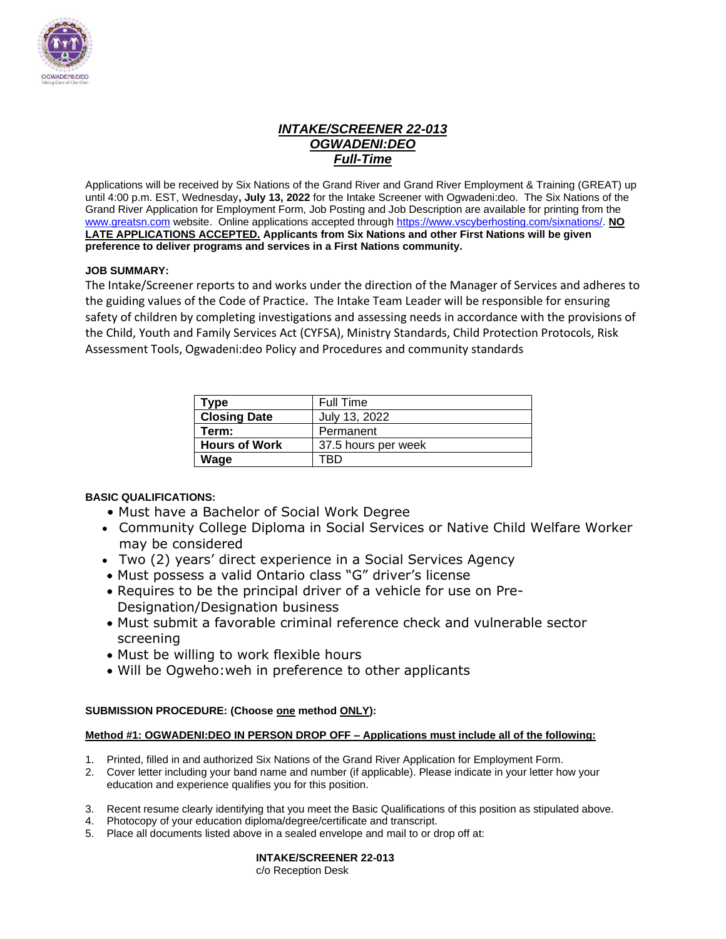

# *INTAKE/SCREENER 22-013 OGWADENI:DEO Full-Time*

Applications will be received by Six Nations of the Grand River and Grand River Employment & Training (GREAT) up until 4:00 p.m. EST, Wednesday**, July 13, 2022** for the Intake Screener with Ogwadeni:deo. The Six Nations of the Grand River Application for Employment Form, Job Posting and Job Description are available for printing from the [www.greatsn.com](http://www.greatsn.com/) website. Online applications accepted throug[h https://www.vscyberhosting.com/sixnations/.](https://www.vscyberhosting.com/sixnations/) **NO LATE APPLICATIONS ACCEPTED. Applicants from Six Nations and other First Nations will be given preference to deliver programs and services in a First Nations community.**

### **JOB SUMMARY:**

The Intake/Screener reports to and works under the direction of the Manager of Services and adheres to the guiding values of the Code of Practice**.** The Intake Team Leader will be responsible for ensuring safety of children by completing investigations and assessing needs in accordance with the provisions of the Child, Youth and Family Services Act (CYFSA), Ministry Standards, Child Protection Protocols, Risk Assessment Tools, Ogwadeni:deo Policy and Procedures and community standards

| Type                 | Full Time           |
|----------------------|---------------------|
| <b>Closing Date</b>  | July 13, 2022       |
| Term:                | Permanent           |
| <b>Hours of Work</b> | 37.5 hours per week |
| Wage                 | ΓRΓ                 |

### **BASIC QUALIFICATIONS:**

- Must have a Bachelor of Social Work Degree
- Community College Diploma in Social Services or Native Child Welfare Worker may be considered
- Two (2) years' direct experience in a Social Services Agency
- Must possess a valid Ontario class "G" driver's license
- Requires to be the principal driver of a vehicle for use on Pre-Designation/Designation business
- Must submit a favorable criminal reference check and vulnerable sector screening
- Must be willing to work flexible hours
- Will be Ogweho:weh in preference to other applicants

### **SUBMISSION PROCEDURE: (Choose one method ONLY):**

#### **Method #1: OGWADENI:DEO IN PERSON DROP OFF – Applications must include all of the following:**

- 1. Printed, filled in and authorized Six Nations of the Grand River Application for Employment Form.
- 2. Cover letter including your band name and number (if applicable). Please indicate in your letter how your education and experience qualifies you for this position.
- 3. Recent resume clearly identifying that you meet the Basic Qualifications of this position as stipulated above.
- 4. Photocopy of your education diploma/degree/certificate and transcript.
- 5. Place all documents listed above in a sealed envelope and mail to or drop off at:

**INTAKE/SCREENER 22-013** c/o Reception Desk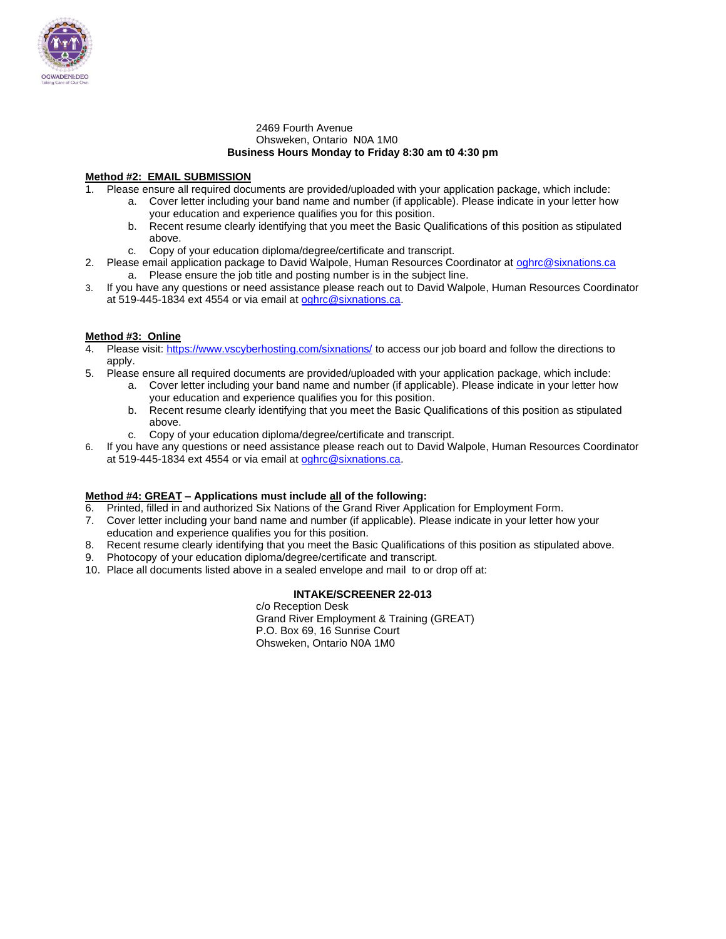

#### 2469 Fourth Avenue Ohsweken, Ontario N0A 1M0 **Business Hours Monday to Friday 8:30 am t0 4:30 pm**

#### **Method #2: EMAIL SUBMISSION**

- 1. Please ensure all required documents are provided/uploaded with your application package, which include:
	- a. Cover letter including your band name and number (if applicable). Please indicate in your letter how your education and experience qualifies you for this position.
		- b. Recent resume clearly identifying that you meet the Basic Qualifications of this position as stipulated above.
		- c. Copy of your education diploma/degree/certificate and transcript.
- 2. Please email application package to David Walpole, Human Resources Coordinator at [oghrc@sixnations.ca](mailto:oghrc@sixnations.ca) a. Please ensure the job title and posting number is in the subject line.
- 3. If you have any questions or need assistance please reach out to David Walpole, Human Resources Coordinator at 519-445-1834 ext 4554 or via email at [oghrc@sixnations.ca.](mailto:oghrc@sixnations.ca)

#### **Method #3: Online**

- 4. Please visit[: https://www.vscyberhosting.com/sixnations/](https://www.vscyberhosting.com/sixnations/) to access our job board and follow the directions to apply.
- 5. Please ensure all required documents are provided/uploaded with your application package, which include:
	- a. Cover letter including your band name and number (if applicable). Please indicate in your letter how your education and experience qualifies you for this position.
	- b. Recent resume clearly identifying that you meet the Basic Qualifications of this position as stipulated above.
	- c. Copy of your education diploma/degree/certificate and transcript.
- 6. If you have any questions or need assistance please reach out to David Walpole, Human Resources Coordinator at 519-445-1834 ext 4554 or via email at [oghrc@sixnations.ca.](mailto:oghrc@sixnations.ca)

#### **Method #4: GREAT – Applications must include all of the following:**

- 6. Printed, filled in and authorized Six Nations of the Grand River Application for Employment Form.
- 7. Cover letter including your band name and number (if applicable). Please indicate in your letter how your education and experience qualifies you for this position.
- 8. Recent resume clearly identifying that you meet the Basic Qualifications of this position as stipulated above.
- 9. Photocopy of your education diploma/degree/certificate and transcript.
- 10. Place all documents listed above in a sealed envelope and mail to or drop off at:

#### **INTAKE/SCREENER 22-013**

c/o Reception Desk Grand River Employment & Training (GREAT) P.O. Box 69, 16 Sunrise Court Ohsweken, Ontario N0A 1M0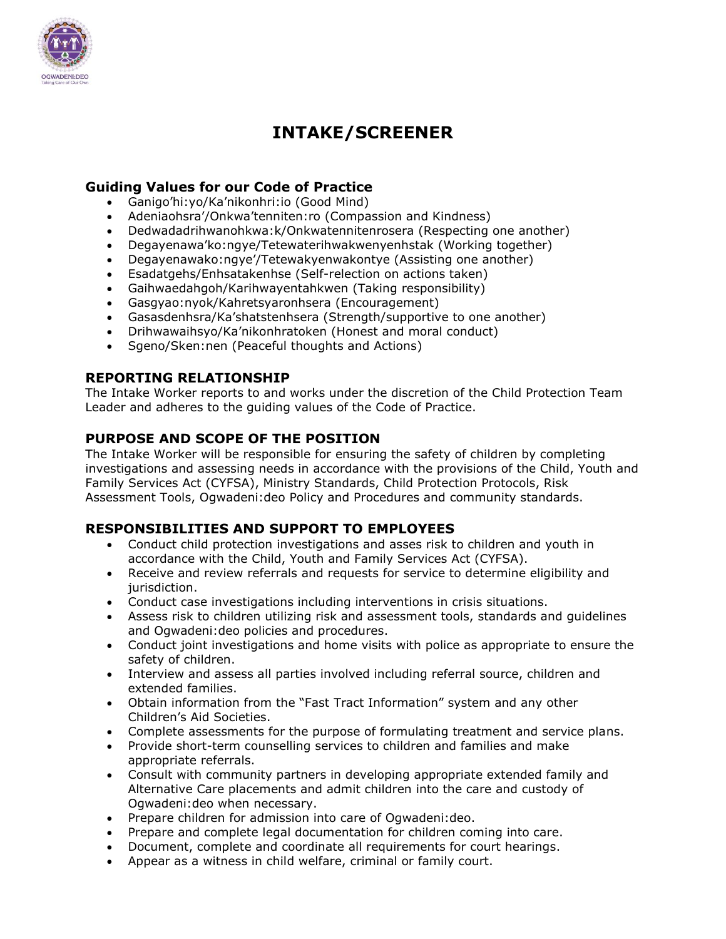

# **INTAKE/SCREENER**

# **Guiding Values for our Code of Practice**

- Ganigo'hi:yo/Ka'nikonhri:io (Good Mind)
- Adeniaohsra'/Onkwa'tenniten:ro (Compassion and Kindness)
- Dedwadadrihwanohkwa:k/Onkwatennitenrosera (Respecting one another)
- Degayenawa'ko:ngye/Tetewaterihwakwenyenhstak (Working together)
- Degayenawako:ngye'/Tetewakyenwakontye (Assisting one another)
- Esadatgehs/Enhsatakenhse (Self-relection on actions taken)
- Gaihwaedahgoh/Karihwayentahkwen (Taking responsibility)
- Gasgyao:nyok/Kahretsyaronhsera (Encouragement)
- Gasasdenhsra/Ka'shatstenhsera (Strength/supportive to one another)
- Drihwawaihsyo/Ka'nikonhratoken (Honest and moral conduct)
- Sgeno/Sken:nen (Peaceful thoughts and Actions)

# **REPORTING RELATIONSHIP**

The Intake Worker reports to and works under the discretion of the Child Protection Team Leader and adheres to the guiding values of the Code of Practice.

# **PURPOSE AND SCOPE OF THE POSITION**

The Intake Worker will be responsible for ensuring the safety of children by completing investigations and assessing needs in accordance with the provisions of the Child, Youth and Family Services Act (CYFSA), Ministry Standards, Child Protection Protocols, Risk Assessment Tools, Ogwadeni:deo Policy and Procedures and community standards.

# **RESPONSIBILITIES AND SUPPORT TO EMPLOYEES**

- Conduct child protection investigations and asses risk to children and youth in accordance with the Child, Youth and Family Services Act (CYFSA).
- Receive and review referrals and requests for service to determine eligibility and jurisdiction.
- Conduct case investigations including interventions in crisis situations.
- Assess risk to children utilizing risk and assessment tools, standards and guidelines and Ogwadeni:deo policies and procedures.
- Conduct joint investigations and home visits with police as appropriate to ensure the safety of children.
- Interview and assess all parties involved including referral source, children and extended families.
- Obtain information from the "Fast Tract Information" system and any other Children's Aid Societies.
- Complete assessments for the purpose of formulating treatment and service plans.
- Provide short-term counselling services to children and families and make appropriate referrals.
- Consult with community partners in developing appropriate extended family and Alternative Care placements and admit children into the care and custody of Ogwadeni:deo when necessary.
- Prepare children for admission into care of Ogwadeni:deo.
- Prepare and complete legal documentation for children coming into care.
- Document, complete and coordinate all requirements for court hearings.
- Appear as a witness in child welfare, criminal or family court.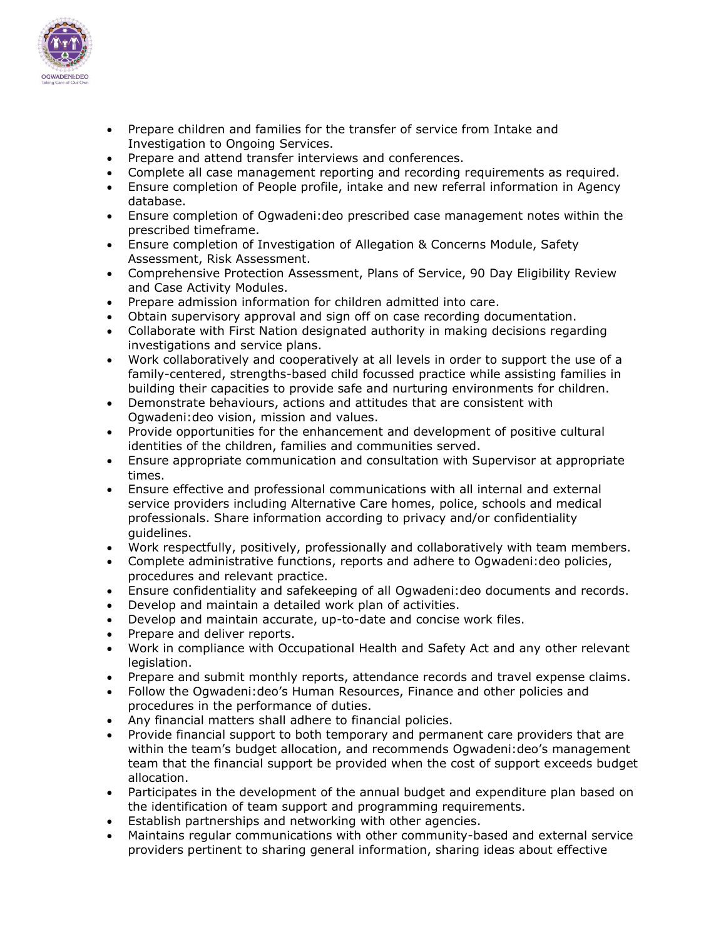

- Prepare children and families for the transfer of service from Intake and Investigation to Ongoing Services.
- Prepare and attend transfer interviews and conferences.
- Complete all case management reporting and recording requirements as required.
- Ensure completion of People profile, intake and new referral information in Agency database.
- Ensure completion of Ogwadeni:deo prescribed case management notes within the prescribed timeframe.
- Ensure completion of Investigation of Allegation & Concerns Module, Safety Assessment, Risk Assessment.
- Comprehensive Protection Assessment, Plans of Service, 90 Day Eligibility Review and Case Activity Modules.
- Prepare admission information for children admitted into care.
- Obtain supervisory approval and sign off on case recording documentation.
- Collaborate with First Nation designated authority in making decisions regarding investigations and service plans.
- Work collaboratively and cooperatively at all levels in order to support the use of a family-centered, strengths-based child focussed practice while assisting families in building their capacities to provide safe and nurturing environments for children.
- Demonstrate behaviours, actions and attitudes that are consistent with Ogwadeni:deo vision, mission and values.
- Provide opportunities for the enhancement and development of positive cultural identities of the children, families and communities served.
- Ensure appropriate communication and consultation with Supervisor at appropriate times.
- Ensure effective and professional communications with all internal and external service providers including Alternative Care homes, police, schools and medical professionals. Share information according to privacy and/or confidentiality guidelines.
- Work respectfully, positively, professionally and collaboratively with team members.
- Complete administrative functions, reports and adhere to Ogwadeni:deo policies, procedures and relevant practice.
- Ensure confidentiality and safekeeping of all Ogwadeni:deo documents and records.
- Develop and maintain a detailed work plan of activities.
- Develop and maintain accurate, up-to-date and concise work files.
- Prepare and deliver reports.
- Work in compliance with Occupational Health and Safety Act and any other relevant legislation.
- Prepare and submit monthly reports, attendance records and travel expense claims.
- Follow the Ogwadeni:deo's Human Resources, Finance and other policies and procedures in the performance of duties.
- Any financial matters shall adhere to financial policies.
- Provide financial support to both temporary and permanent care providers that are within the team's budget allocation, and recommends Ogwadeni:deo's management team that the financial support be provided when the cost of support exceeds budget allocation.
- Participates in the development of the annual budget and expenditure plan based on the identification of team support and programming requirements.
- Establish partnerships and networking with other agencies.
- Maintains regular communications with other community-based and external service providers pertinent to sharing general information, sharing ideas about effective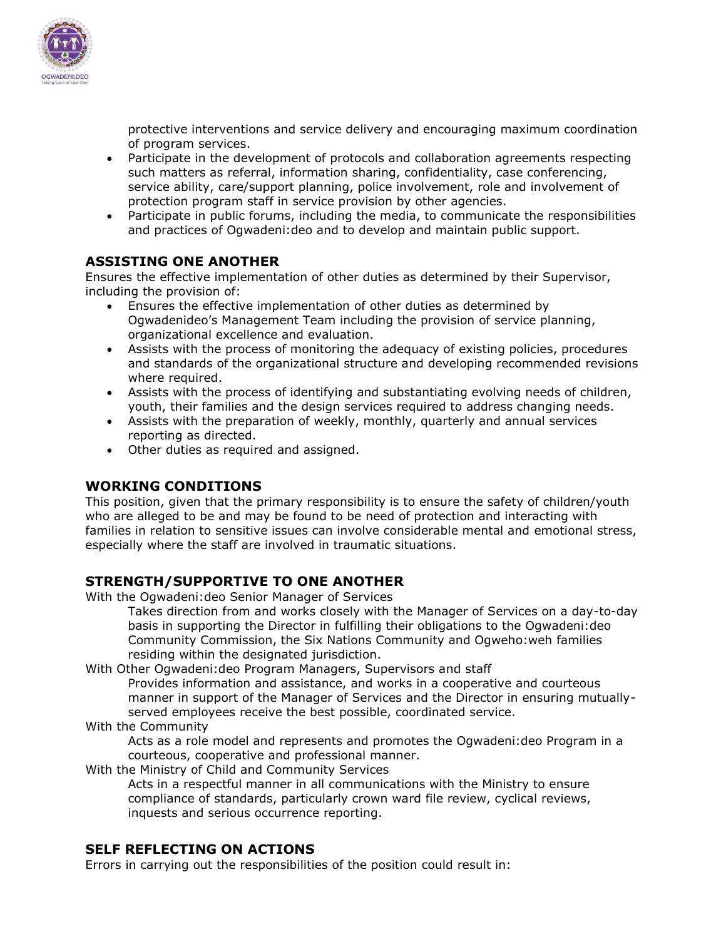

protective interventions and service delivery and encouraging maximum coordination of program services.

- Participate in the development of protocols and collaboration agreements respecting such matters as referral, information sharing, confidentiality, case conferencing, service ability, care/support planning, police involvement, role and involvement of protection program staff in service provision by other agencies.
- Participate in public forums, including the media, to communicate the responsibilities and practices of Ogwadeni:deo and to develop and maintain public support.

# **ASSISTING ONE ANOTHER**

Ensures the effective implementation of other duties as determined by their Supervisor, including the provision of:

- Ensures the effective implementation of other duties as determined by Ogwadenideo's Management Team including the provision of service planning, organizational excellence and evaluation.
- Assists with the process of monitoring the adequacy of existing policies, procedures and standards of the organizational structure and developing recommended revisions where required.
- Assists with the process of identifying and substantiating evolving needs of children, youth, their families and the design services required to address changing needs.
- Assists with the preparation of weekly, monthly, quarterly and annual services reporting as directed.
- Other duties as required and assigned.

### **WORKING CONDITIONS**

This position, given that the primary responsibility is to ensure the safety of children/youth who are alleged to be and may be found to be need of protection and interacting with families in relation to sensitive issues can involve considerable mental and emotional stress, especially where the staff are involved in traumatic situations.

### **STRENGTH/SUPPORTIVE TO ONE ANOTHER**

With the Ogwadeni:deo Senior Manager of Services

Takes direction from and works closely with the Manager of Services on a day-to-day basis in supporting the Director in fulfilling their obligations to the Ogwadeni:deo Community Commission, the Six Nations Community and Ogweho:weh families residing within the designated jurisdiction.

With Other Ogwadeni:deo Program Managers, Supervisors and staff

Provides information and assistance, and works in a cooperative and courteous manner in support of the Manager of Services and the Director in ensuring mutuallyserved employees receive the best possible, coordinated service.

With the Community

Acts as a role model and represents and promotes the Ogwadeni:deo Program in a courteous, cooperative and professional manner.

With the Ministry of Child and Community Services

Acts in a respectful manner in all communications with the Ministry to ensure compliance of standards, particularly crown ward file review, cyclical reviews, inquests and serious occurrence reporting.

### **SELF REFLECTING ON ACTIONS**

Errors in carrying out the responsibilities of the position could result in: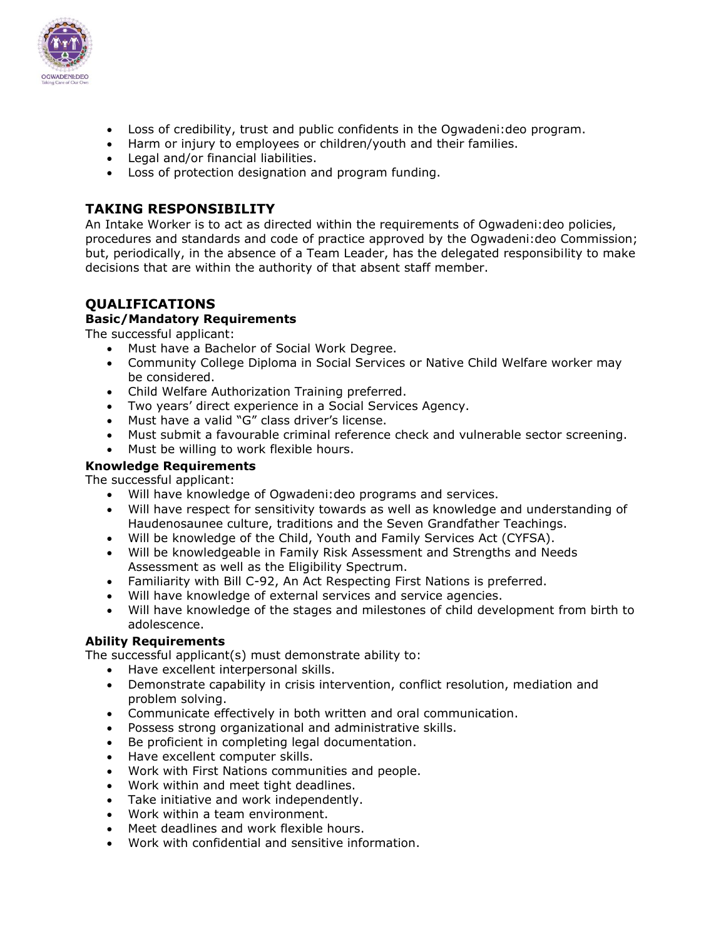

- Loss of credibility, trust and public confidents in the Ogwadeni:deo program.
- Harm or injury to employees or children/youth and their families.
- Legal and/or financial liabilities.
- Loss of protection designation and program funding.

# **TAKING RESPONSIBILITY**

An Intake Worker is to act as directed within the requirements of Ogwadeni:deo policies, procedures and standards and code of practice approved by the Ogwadeni:deo Commission; but, periodically, in the absence of a Team Leader, has the delegated responsibility to make decisions that are within the authority of that absent staff member.

# **QUALIFICATIONS**

### **Basic/Mandatory Requirements**

The successful applicant:

- Must have a Bachelor of Social Work Degree.
- Community College Diploma in Social Services or Native Child Welfare worker may be considered.
- Child Welfare Authorization Training preferred.
- Two years' direct experience in a Social Services Agency.
- Must have a valid "G" class driver's license.
- Must submit a favourable criminal reference check and vulnerable sector screening.
- Must be willing to work flexible hours.

### **Knowledge Requirements**

The successful applicant:

- Will have knowledge of Ogwadeni:deo programs and services.
- Will have respect for sensitivity towards as well as knowledge and understanding of Haudenosaunee culture, traditions and the Seven Grandfather Teachings.
- Will be knowledge of the Child, Youth and Family Services Act (CYFSA).
- Will be knowledgeable in Family Risk Assessment and Strengths and Needs Assessment as well as the Eligibility Spectrum.
- Familiarity with Bill C-92, An Act Respecting First Nations is preferred.
- Will have knowledge of external services and service agencies.
- Will have knowledge of the stages and milestones of child development from birth to adolescence.

### **Ability Requirements**

The successful applicant(s) must demonstrate ability to:

- Have excellent interpersonal skills.
- Demonstrate capability in crisis intervention, conflict resolution, mediation and problem solving.
- Communicate effectively in both written and oral communication.
- Possess strong organizational and administrative skills.
- Be proficient in completing legal documentation.
- Have excellent computer skills.
- Work with First Nations communities and people.
- Work within and meet tight deadlines.
- Take initiative and work independently.
- Work within a team environment.
- Meet deadlines and work flexible hours.
- Work with confidential and sensitive information.